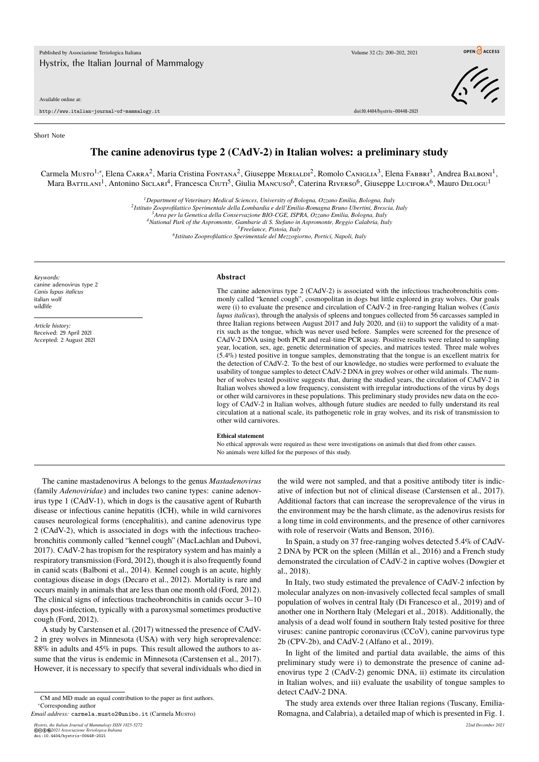Available online at:

http://www.italian-journal-of-mammalogy.it doi:10.4404/hystrix–00448-2021

Short Note

## **The canine adenovirus type 2 (CAdV-2) in Italian wolves: a preliminary study**

Carmela Musto<sup>1,∗</sup>, Elena CARRA<sup>2</sup>, Maria Cristina Fontana<sup>2</sup>, Giuseppe MERIALDi<sup>2</sup>, Romolo Caniglia<sup>3</sup>, Elena Fаввri<sup>3</sup>, Andrea Balboni<sup>1</sup>, Mara Battilani<sup>1</sup>, Antonino Siclari<sup>4</sup>, Francesca Ciuti<sup>5</sup>, Giulia Mancuso<sup>6</sup>, Caterina Riverso<sup>6</sup>, Giuseppe Lucifora<sup>6</sup>, Mauro Delogu<sup>1</sup>

*<sup>1</sup>Department of Veterinary Medical Sciences, University of Bologna, Ozzano Emilia, Bologna, Italy*

*2 Istituto Zooprofilattico Sperimentale della Lombardia e dell'Emilia-Romagna Bruno Ubertini, Brescia, Italy*

*<sup>3</sup>Area per la Genetica della Conservazione BIO-CGE, ISPRA, Ozzano Emilia, Bologna, Italy*

*<sup>4</sup>National Park of the Aspromonte, Gambarie di S. Stefano in Aspromonte, Reggio Calabria, Italy <sup>5</sup>Freelance, Pistoia, Italy*

*6 Istituto Zooprofilattico Sperimentale del Mezzogiorno, Portici, Napoli, Italy*

*Keywords:* canine adenovirus type 2 *Canis lupus italicus* italian wolf wildlife

*Article history:* Received: 29 April 2021 Accepted: 2 August 2021

## **Abstract**

The canine adenovirus type 2 (CAdV-2) is associated with the infectious tracheobronchitis commonly called "kennel cough", cosmopolitan in dogs but little explored in gray wolves. Our goals were (i) to evaluate the presence and circulation of CAdV-2 in free-ranging Italian wolves (*Canis lupus italicus*), through the analysis of spleens and tongues collected from 56 carcasses sampled in three Italian regions between August 2017 and July 2020, and (ii) to support the validity of a matrix such as the tongue, which was never used before. Samples were screened for the presence of CAdV-2 DNA using both PCR and real-time PCR assay. Positive results were related to sampling year, location, sex, age, genetic determination of species, and matrices tested. Three male wolves (5.4%) tested positive in tongue samples, demonstrating that the tongue is an excellent matrix for the detection of CAdV-2. To the best of our knowledge, no studies were performed to evaluate the usability of tongue samples to detect CAdV-2 DNA in grey wolves or other wild animals. The number of wolves tested positive suggests that, during the studied years, the circulation of CAdV-2 in Italian wolves showed a low frequency, consistent with irregular introductions of the virus by dogs or other wild carnivores in these populations. This preliminary study provides new data on the ecology of CAdV-2 in Italian wolves, although future studies are needed to fully understand its real circulation at a national scale, its pathogenetic role in gray wolves, and its risk of transmission to other wild carnivores.

## **Ethical statement**

No ethical approvals were required as these were investigations on animals that died from other causes. No animals were killed for the purposes of this study.

The canine mastadenovirus A belongs to the genus *Mastadenovirus* (family *Adenoviridae*) and includes two canine types: canine adenovirus type 1 (CAdV-1), which in dogs is the causative agent of Rubarth disease or infectious canine hepatitis (ICH), while in wild carnivores causes neurological forms (encephalitis), and canine adenovirus type 2 (CAdV-2), which is associated in dogs with the infectious tracheobronchitis commonly called "kennel cough" (MacLachlan and Dubovi, 2017). CAdV-2 has tropism for the respiratory system and has mainly a respiratory transmission (Ford, 2012), though it is also frequently found in canid scats (Balboni et al., 2014). Kennel cough is an acute, highly contagious disease in dogs (Decaro et al., 2012). Mortality is rare and occurs mainly in animals that are less than one month old (Ford, 2012). The clinical signs of infectious tracheobronchitis in canids occur 3–10 days post-infection, typically with a paroxysmal sometimes productive cough (Ford, 2012).

A study by Carstensen et al. (2017) witnessed the presence of CAdV-2 in grey wolves in Minnesota (USA) with very high seroprevalence: 88% in adults and 45% in pups. This result allowed the authors to assume that the virus is endemic in Minnesota (Carstensen et al., 2017). However, it is necessary to specify that several individuals who died in

©©⊕©202*1 Associazione Teriologica Italiana*<br>doi:10.4404/hystrix-00448-2021

the wild were not sampled, and that a positive antibody titer is indicative of infection but not of clinical disease (Carstensen et al., 2017). Additional factors that can increase the seroprevalence of the virus in the environment may be the harsh climate, as the adenovirus resists for a long time in cold environments, and the presence of other carnivores with role of reservoir (Watts and Benson, 2016).

In Spain, a study on 37 free-ranging wolves detected 5.4% of CAdV-2 DNA by PCR on the spleen (Millán et al., 2016) and a French study demonstrated the circulation of CAdV-2 in captive wolves (Dowgier et al., 2018).

In Italy, two study estimated the prevalence of CAdV-2 infection by molecular analyzes on non-invasively collected fecal samples of small population of wolves in central Italy (Di Francesco et al., 2019) and of another one in Northern Italy (Melegari et al., 2018). Additionally, the analysis of a dead wolf found in southern Italy tested positive for three viruses: canine pantropic coronavirus (CCoV), canine parvovirus type 2b (CPV-2b), and CAdV-2 (Alfano et al., 2019).

In light of the limited and partial data available, the aims of this preliminary study were i) to demonstrate the presence of canine adenovirus type 2 (CAdV-2) genomic DNA, ii) estimate its circulation in Italian wolves, and iii) evaluate the usability of tongue samples to detect CAdV-2 DNA.

The study area extends over three Italian regions (Tuscany, Emilia-Romagna, and Calabria), a detailed map of which is presented in Fig. 1.



OPEN CACCESS

CM and MD made an equal contribution to the paper as first authors. ∗Corresponding author

*Email address:* carmela.musto2@unibo.it (Carmela Musto)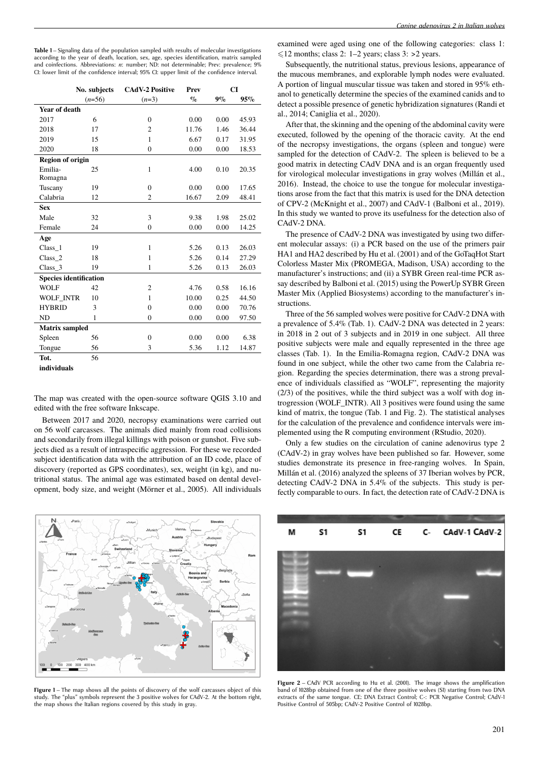Table 1 – Signaling data of the population sampled with results of molecular investigations according to the year of death, location, sex, age, species identification, matrix sampled and coinfections. Abbreviations: *n*: number; ND: not determinable; Prev: prevalence; 9% CI: lower limit of the confidence interval; 95% CI: upper limit of the confidence interval.

|                               | No. subjects | <b>CAdV-2 Positive</b> | Prev  | CI    |       |
|-------------------------------|--------------|------------------------|-------|-------|-------|
|                               | $(n=56)$     | $(n=3)$                | $\%$  | $9\%$ | 95%   |
| Year of death                 |              |                        |       |       |       |
| 2017                          | 6            | $\mathbf{0}$           | 0.00  | 0.00  | 45.93 |
| 2018                          | 17           | $\overline{c}$         | 11.76 | 1.46  | 36.44 |
| 2019                          | 15           | $\mathbf{1}$           | 6.67  | 0.17  | 31.95 |
| 2020                          | 18           | $\mathbf{0}$           | 0.00  | 0.00  | 18.53 |
| <b>Region of origin</b>       |              |                        |       |       |       |
| Emilia-                       | 25           | 1                      | 4.00  | 0.10  | 20.35 |
| Romagna                       |              |                        |       |       |       |
| Tuscany                       | 19           | $\mathbf{0}$           | 0.00  | 0.00  | 17.65 |
| Calabria                      | 12           | $\overline{c}$         | 16.67 | 2.09  | 48.41 |
| <b>Sex</b>                    |              |                        |       |       |       |
| Male                          | 32           | 3                      | 9.38  | 1.98  | 25.02 |
| Female                        | 24           | $\mathbf{0}$           | 0.00  | 0.00  | 14.25 |
| Age                           |              |                        |       |       |       |
| Class 1                       | 19           | $\mathbf{1}$           | 5.26  | 0.13  | 26.03 |
| Class <sub>2</sub>            | 18           | $\mathbf{1}$           | 5.26  | 0.14  | 27.29 |
| $Class_3$                     | 19           | 1                      | 5.26  | 0.13  | 26.03 |
| <b>Species identification</b> |              |                        |       |       |       |
| <b>WOLF</b>                   | 42           | $\overline{c}$         | 4.76  | 0.58  | 16.16 |
| WOLF INTR                     | 10           | $\mathbf{1}$           | 10.00 | 0.25  | 44.50 |
| <b>HYBRID</b>                 | 3            | $\mathbf{0}$           | 0.00  | 0.00  | 70.76 |
| ND                            | $\mathbf{1}$ | $\mathbf{0}$           | 0.00  | 0.00  | 97.50 |
| <b>Matrix sampled</b>         |              |                        |       |       |       |
| Spleen                        | 56           | $\mathbf{0}$           | 0.00  | 0.00  | 6.38  |
| Tongue                        | 56           | 3                      | 5.36  | 1.12  | 14.87 |
| Tot.                          | 56           |                        |       |       |       |
| individuals                   |              |                        |       |       |       |

The map was created with the open-source software QGIS 3.10 and edited with the free software Inkscape.

Between 2017 and 2020, necropsy examinations were carried out on 56 wolf carcasses. The animals died mainly from road collisions and secondarily from illegal killings with poison or gunshot. Five subjects died as a result of intraspecific aggression. For these we recorded subject identification data with the attribution of an ID code, place of discovery (reported as GPS coordinates), sex, weight (in kg), and nutritional status. The animal age was estimated based on dental development, body size, and weight (Mörner et al., 2005). All individuals



**Figure 1** – The map shows all the points of discovery of the wolf carcasses object of this study. The "plus" symbols represent the 3 positive wolves for CAdV-2. At the bottom right, the map shows the Italian regions covered by this study in gray.

examined were aged using one of the following categories: class 1:  $\leq 12$  months; class 2: 1–2 years; class 3: >2 years.

Subsequently, the nutritional status, previous lesions, appearance of the mucous membranes, and explorable lymph nodes were evaluated. A portion of lingual muscular tissue was taken and stored in 95% ethanol to genetically determine the species of the examined canids and to detect a possible presence of genetic hybridization signatures (Randi et al., 2014; Caniglia et al., 2020).

After that, the skinning and the opening of the abdominal cavity were executed, followed by the opening of the thoracic cavity. At the end of the necropsy investigations, the organs (spleen and tongue) were sampled for the detection of CAdV-2. The spleen is believed to be a good matrix in detecting CAdV DNA and is an organ frequently used for virological molecular investigations in gray wolves (Millán et al., 2016). Instead, the choice to use the tongue for molecular investigations arose from the fact that this matrix is used for the DNA detection of CPV-2 (McKnight et al., 2007) and CAdV-1 (Balboni et al., 2019). In this study we wanted to prove its usefulness for the detection also of CAdV-2 DNA.

The presence of CAdV-2 DNA was investigated by using two different molecular assays: (i) a PCR based on the use of the primers pair HA1 and HA2 described by Hu et al. (2001) and of the GoTaqHot Start Colorless Master Mix (PROMEGA, Madison, USA) according to the manufacturer's instructions; and (ii) a SYBR Green real-time PCR assay described by Balboni et al. (2015) using the PowerUp SYBR Green Master Mix (Applied Biosystems) according to the manufacturer's instructions.

Three of the 56 sampled wolves were positive for CAdV-2 DNA with a prevalence of 5.4% (Tab. 1). CAdV-2 DNA was detected in 2 years: in 2018 in 2 out of 3 subjects and in 2019 in one subject. All three positive subjects were male and equally represented in the three age classes (Tab. 1). In the Emilia-Romagna region, CAdV-2 DNA was found in one subject, while the other two came from the Calabria region. Regarding the species determination, there was a strong prevalence of individuals classified as "WOLF", representing the majority (2/3) of the positives, while the third subject was a wolf with dog introgression (WOLF\_INTR). All 3 positives were found using the same kind of matrix, the tongue (Tab. 1 and Fig. 2). The statistical analyses for the calculation of the prevalence and confidence intervals were implemented using the R computing environment (RStudio, 2020).

Only a few studies on the circulation of canine adenovirus type 2 (CAdV-2) in gray wolves have been published so far. However, some studies demonstrate its presence in free-ranging wolves. In Spain, Millán et al. (2016) analyzed the spleens of 37 Iberian wolves by PCR, detecting CAdV-2 DNA in 5.4% of the subjects. This study is perfectly comparable to ours. In fact, the detection rate of CAdV-2 DNA is



**Figure 2** – CAdV PCR according to Hu et al. (2001). The image shows the amplification band of 1028bp obtained from one of the three positive wolves (S1) starting from two DNA extracts of the same tongue. CE: DNA Extract Control; C-: PCR Negative Control; CAdV-1 Positive Control of 505bp; CAdV-2 Positive Control of 1028bp.